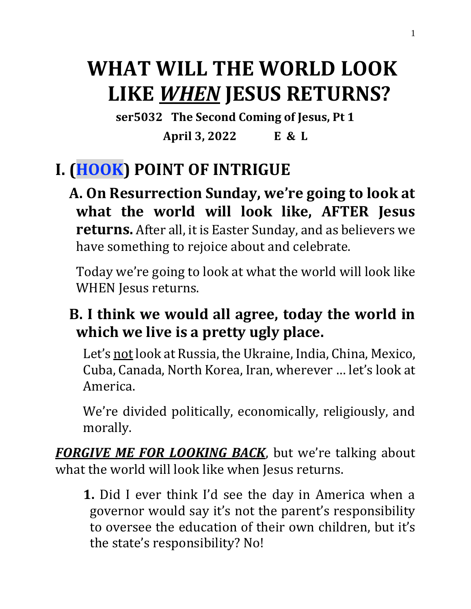# **WHAT WILL THE WORLD LOOK LIKE** *WHEN* **JESUS RETURNS?**

**ser5032 The Second Coming of Jesus, Pt 1**

**April 3, 2022 E & L**

### **I. (HOOK) POINT OF INTRIGUE**

**A. On Resurrection Sunday, we're going to look at what the world will look like, AFTER Jesus returns.** After all, it is Easter Sunday, and as believers we have something to rejoice about and celebrate.

Today we're going to look at what the world will look like WHEN Jesus returns.

### **B. I think we would all agree, today the world in which we live is a pretty ugly place.**

Let's not look at Russia, the Ukraine, India, China, Mexico, Cuba, Canada, North Korea, Iran, wherever … let's look at America.

We're divided politically, economically, religiously, and morally.

*FORGIVE ME FOR LOOKING BACK*, but we're talking about what the world will look like when Jesus returns.

**1.** Did I ever think I'd see the day in America when a governor would say it's not the parent's responsibility to oversee the education of their own children, but it's the state's responsibility? No!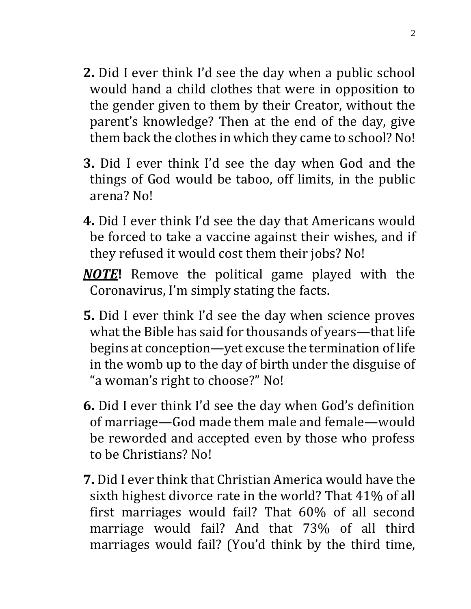- **2.** Did I ever think I'd see the day when a public school would hand a child clothes that were in opposition to the gender given to them by their Creator, without the parent's knowledge? Then at the end of the day, give them back the clothes in which they came to school? No!
- **3.** Did I ever think I'd see the day when God and the things of God would be taboo, off limits, in the public arena? No!
- **4.** Did I ever think I'd see the day that Americans would be forced to take a vaccine against their wishes, and if they refused it would cost them their jobs? No!
- *NOTE***!** Remove the political game played with the Coronavirus, I'm simply stating the facts.
- **5.** Did I ever think I'd see the day when science proves what the Bible has said for thousands of years—that life begins at conception—yet excuse the termination of life in the womb up to the day of birth under the disguise of "a woman's right to choose?" No!
- **6.** Did I ever think I'd see the day when God's definition of marriage—God made them male and female—would be reworded and accepted even by those who profess to be Christians? No!
- **7.** Did I ever think that Christian America would have the sixth highest divorce rate in the world? That 41% of all first marriages would fail? That 60% of all second marriage would fail? And that 73% of all third marriages would fail? (You'd think by the third time,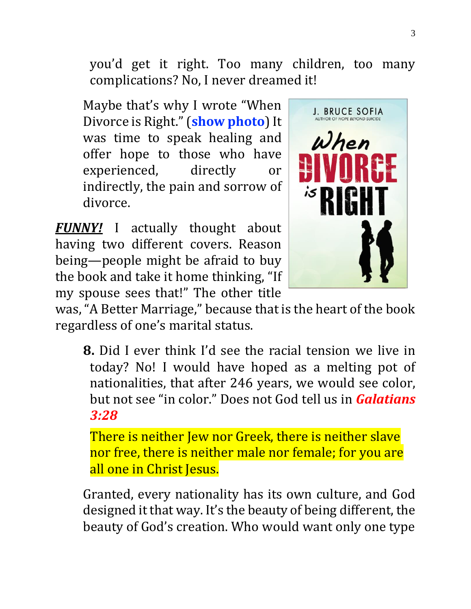you'd get it right. Too many children, too many complications? No, I never dreamed it!

Maybe that's why I wrote "When Divorce is Right." (**show photo**) It was time to speak healing and offer hope to those who have experienced, directly or indirectly, the pain and sorrow of divorce.

*FUNNY!* I actually thought about having two different covers. Reason being—people might be afraid to buy the book and take it home thinking, "If my spouse sees that!" The other title



was, "A Better Marriage," because that is the heart of the book regardless of one's marital status.

**8.** Did I ever think I'd see the racial tension we live in today? No! I would have hoped as a melting pot of nationalities, that after 246 years, we would see color, but not see "in color." Does not God tell us in *Galatians 3:28*

There is neither Jew nor Greek, there is neither slave nor free, there is neither male nor female; for you are all one in Christ Jesus.

Granted, every nationality has its own culture, and God designed it that way. It's the beauty of being different, the beauty of God's creation. Who would want only one type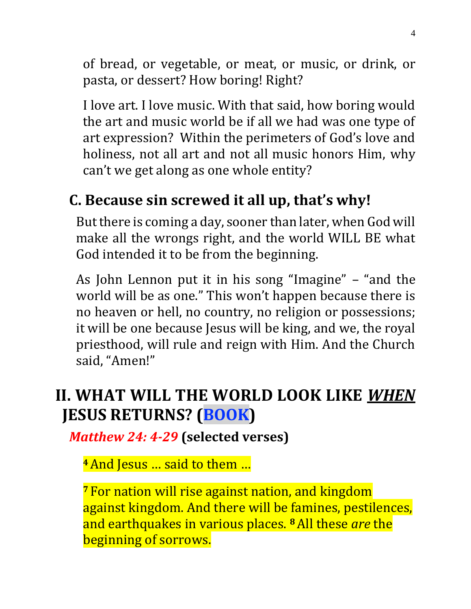of bread, or vegetable, or meat, or music, or drink, or pasta, or dessert? How boring! Right?

I love art. I love music. With that said, how boring would the art and music world be if all we had was one type of art expression? Within the perimeters of God's love and holiness, not all art and not all music honors Him, why can't we get along as one whole entity?

### **C. Because sin screwed it all up, that's why!**

But there is coming a day, sooner than later, when God will make all the wrongs right, and the world WILL BE what God intended it to be from the beginning.

As John Lennon put it in his song "Imagine" – "and the world will be as one." This won't happen because there is no heaven or hell, no country, no religion or possessions; it will be one because Jesus will be king, and we, the royal priesthood, will rule and reign with Him. And the Church said, "Amen!"

### **II. WHAT WILL THE WORLD LOOK LIKE** *WHEN* **JESUS RETURNS? (BOOK)**

*Matthew 24: 4-29* **(selected verses)**

**<sup>4</sup>**And Jesus … said to them …

**<sup>7</sup>** For nation will rise against nation, and kingdom against kingdom. And there will be famines, pestilences, and earthquakes in various places. **<sup>8</sup>**All these *are* the beginning of sorrows.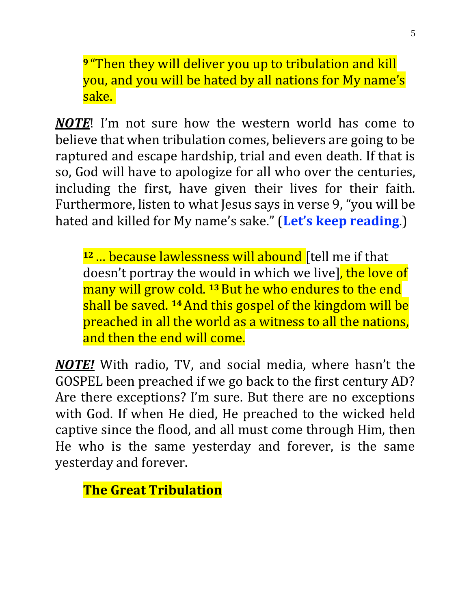**<sup>9</sup>** "Then they will deliver you up to tribulation and kill you, and you will be hated by all nations for My name's sake.

*NOTE*! I'm not sure how the western world has come to believe that when tribulation comes, believers are going to be raptured and escape hardship, trial and even death. If that is so, God will have to apologize for all who over the centuries, including the first, have given their lives for their faith. Furthermore, listen to what Jesus says in verse 9, "you will be hated and killed for My name's sake." (**Let's keep reading**.)

**<sup>12</sup>**… because lawlessness will abound [tell me if that doesn't portray the would in which we live<sup>l</sup>, the love of many will grow cold. **<sup>13</sup>**But he who endures to the end shall be saved. **<sup>14</sup>**And this gospel of the kingdom will be preached in all the world as a witness to all the nations, and then the end will come.

*NOTE!* With radio, TV, and social media, where hasn't the GOSPEL been preached if we go back to the first century AD? Are there exceptions? I'm sure. But there are no exceptions with God. If when He died, He preached to the wicked held captive since the flood, and all must come through Him, then He who is the same yesterday and forever, is the same yesterday and forever.

**The Great Tribulation**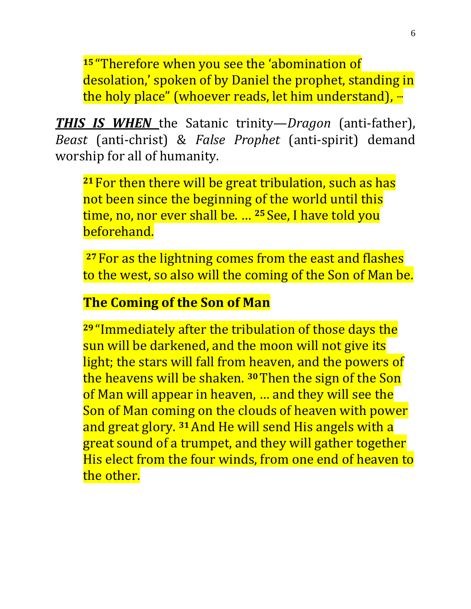**<sup>15</sup>** "Therefore when you see the 'abomination of desolation,' spoken of by Daniel the prophet, standing in the holy place" (whoever reads, let him understand), **…** 

*THIS IS WHEN* the Satanic trinity—*Dragon* (anti-father), *Beast* (anti-christ) & *False Prophet* (anti-spirit) demand worship for all of humanity.

**<sup>21</sup>** For then there will be great tribulation, such as has not been since the beginning of the world until this time, no, nor ever shall be. … **<sup>25</sup>** See, I have told you beforehand.

**<sup>27</sup>** For as the lightning comes from the east and flashes to the west, so also will the coming of the Son of Man be.

#### **The Coming of the Son of Man**

**<sup>29</sup>** "Immediately after the tribulation of those days the sun will be darkened, and the moon will not give its light; the stars will fall from heaven, and the powers of the heavens will be shaken. **<sup>30</sup>**Then the sign of the Son of Man will appear in heaven, … and they will see the Son of Man coming on the clouds of heaven with power and great glory. **<sup>31</sup>**And He will send His angels with a great sound of a trumpet, and they will gather together His elect from the four winds, from one end of heaven to the other.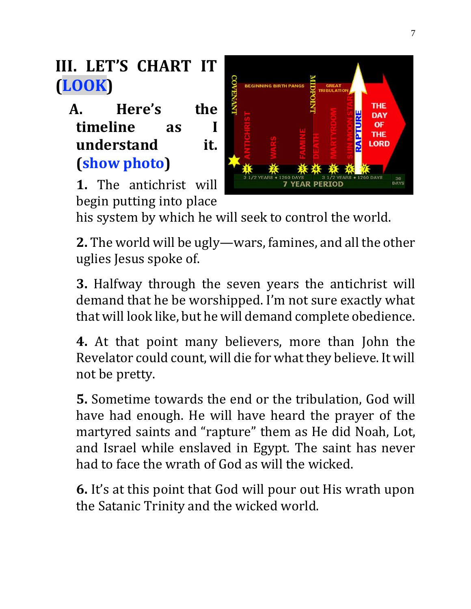**III. LET'S CHART IT (LOOK)**

**A. Here's the timeline as I understand it. (show photo)**

**1.** The antichrist will begin putting into place



his system by which he will seek to control the world.

**2.** The world will be ugly—wars, famines, and all the other uglies Jesus spoke of.

**3.** Halfway through the seven years the antichrist will demand that he be worshipped. I'm not sure exactly what that will look like, but he will demand complete obedience.

**4.** At that point many believers, more than John the Revelator could count, will die for what they believe. It will not be pretty.

**5.** Sometime towards the end or the tribulation, God will have had enough. He will have heard the prayer of the martyred saints and "rapture" them as He did Noah, Lot, and Israel while enslaved in Egypt. The saint has never had to face the wrath of God as will the wicked.

**6.** It's at this point that God will pour out His wrath upon the Satanic Trinity and the wicked world.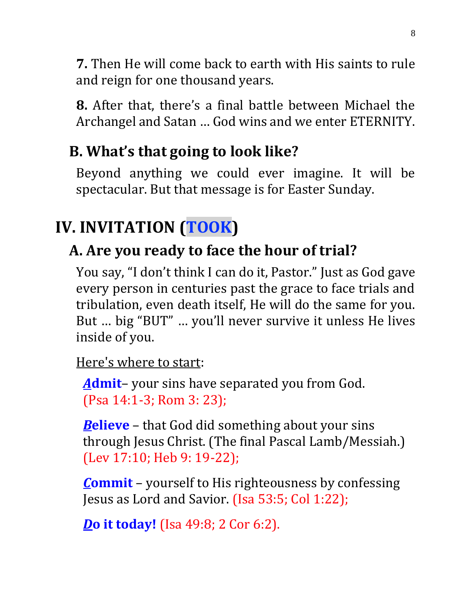**7.** Then He will come back to earth with His saints to rule and reign for one thousand years.

**8.** After that, there's a final battle between Michael the Archangel and Satan … God wins and we enter ETERNITY.

### **B. What's that going to look like?**

Beyond anything we could ever imagine. It will be spectacular. But that message is for Easter Sunday.

## **IV. INVITATION (TOOK)**

### **A. Are you ready to face the hour of trial?**

You say, "I don't think I can do it, Pastor." Just as God gave every person in centuries past the grace to face trials and tribulation, even death itself, He will do the same for you. But … big "BUT" … you'll never survive it unless He lives inside of you.

Here's where to start:

*A***dmit**– your sins have separated you from God. (Psa 14:1-3; Rom 3: 23);

*B***elieve** – that God did something about your sins through Jesus Christ. (The final Pascal Lamb/Messiah.) (Lev 17:10; Heb 9: 19-22);

*C***ommit** – yourself to His righteousness by confessing Jesus as Lord and Savior. (Isa 53:5; Col 1:22);

*D***o it today!** (Isa 49:8; 2 Cor 6:2).